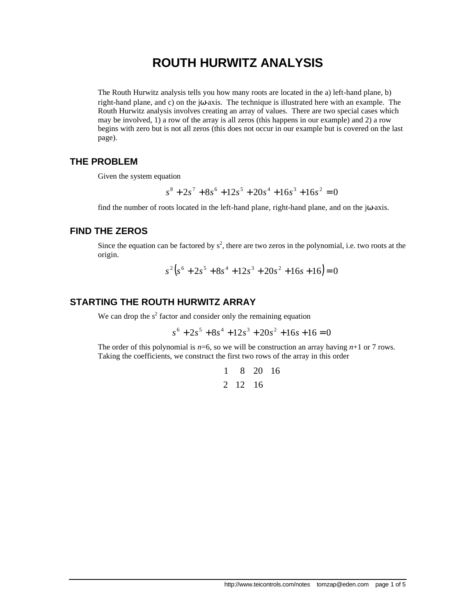# **ROUTH HURWITZ ANALYSIS**

The Routh Hurwitz analysis tells you how many roots are located in the a) left-hand plane, b) right-hand plane, and c) on the jω-axis. The technique is illustrated here with an example. The Routh Hurwitz analysis involves creating an array of values. There are two special cases which may be involved, 1) a row of the array is all zeros (this happens in our example) and 2) a row begins with zero but is not all zeros (this does not occur in our example but is covered on the last page).

### **THE PROBLEM**

Given the system equation

 $s^8 + 2s^7 + 8s^6 + 12s^5 + 20s^4 + 16s^3 + 16s^2 = 0$ 

find the number of roots located in the left-hand plane, right-hand plane, and on the j $\omega$ -axis.

### **FIND THE ZEROS**

Since the equation can be factored by  $s^2$ , there are two zeros in the polynomial, i.e. two roots at the origin.

$$
s^{2}(s^{6} + 2s^{5} + 8s^{4} + 12s^{3} + 20s^{2} + 16s + 16) = 0
$$

### **STARTING THE ROUTH HURWITZ ARRAY**

We can drop the  $s^2$  factor and consider only the remaining equation

$$
s^6 + 2s^5 + 8s^4 + 12s^3 + 20s^2 + 16s + 16 = 0
$$

The order of this polynomial is  $n=6$ , so we will be construction an array having  $n+1$  or 7 rows. Taking the coefficients, we construct the first two rows of the array in this order

$$
\begin{array}{ccccc}\n1 & 8 & 20 & 16 \\
2 & 12 & 16 & \n\end{array}
$$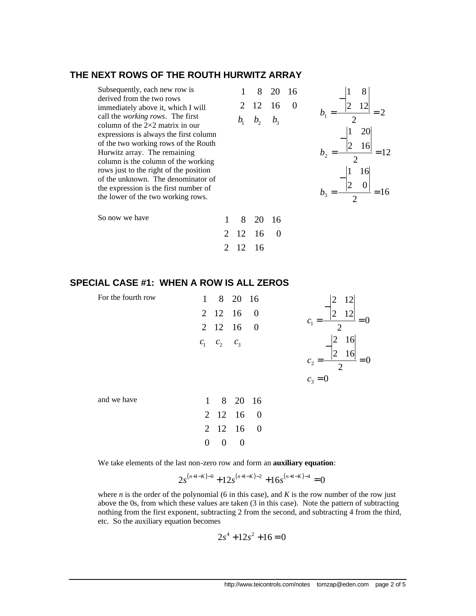#### **THE NEXT ROWS OF THE ROUTH HURWITZ ARRAY**

| Subsequently, each new row is<br>derived from the two rows<br>immediately above it, which I will<br>call the <i>working rows</i> . The first<br>column of the $2\times 2$ matrix in our<br>expressions is always the first column<br>of the two working rows of the Routh<br>Hurwitz array. The remaining<br>column is the column of the working<br>rows just to the right of the position<br>of the unknown. The denominator of<br>the expression is the first number of<br>the lower of the two working rows. |  | 8 | 20 | $ 2\rangle$<br>16 |
|-----------------------------------------------------------------------------------------------------------------------------------------------------------------------------------------------------------------------------------------------------------------------------------------------------------------------------------------------------------------------------------------------------------------------------------------------------------------------------------------------------------------|--|---|----|-------------------|
| So now we have                                                                                                                                                                                                                                                                                                                                                                                                                                                                                                  |  |   |    |                   |

#### **SPECIAL CASE #1: WHEN A ROW IS ALL ZEROS**

| For the fourth row | $\mathbf{1}$ |                   | 8 20 16   | 12                                                                               |
|--------------------|--------------|-------------------|-----------|----------------------------------------------------------------------------------|
|                    |              |                   | 2 12 16 0 | 12<br>$\overline{2}$                                                             |
|                    |              |                   | 2 12 16 0 | $C_{1}$<br>◠                                                                     |
|                    |              | $c_1$ $c_2$ $c_3$ |           | 16<br>2<br>16<br>$\overline{2}$<br>c <sub>2</sub><br>$\overline{2}$<br>$c_3 = 0$ |
| and we have        |              |                   | 1 8 20 16 |                                                                                  |
|                    |              |                   | 2 12 16 0 |                                                                                  |
|                    |              |                   | 2 12 16 0 |                                                                                  |
|                    | $\theta$     | $\theta$          | $\theta$  |                                                                                  |

2 12 16 0

2 12 16

We take elements of the last non-zero row and form an **auxiliary equation**:

$$
2s^{(n+1-K)-0} + 12s^{(n+1-K)-2} + 16s^{(n+1-K)-4} = 0
$$

where  $n$  is the order of the polynomial (6 in this case), and  $K$  is the row number of the row just above the 0s, from which these values are taken (3 in this case). Note the pattern of subtracting nothing from the first exponent, subtracting 2 from the second, and subtracting 4 from the third, etc. So the auxiliary equation becomes

$$
2s^4 + 12s^2 + 16 = 0
$$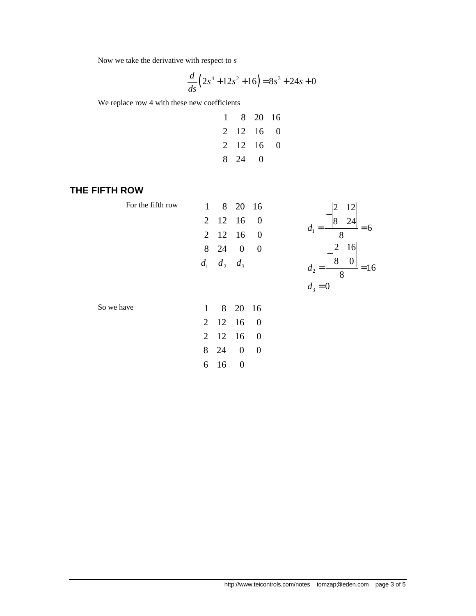Now we take the derivative with respect to *s*

$$
\frac{d}{ds}\left(2s^4 + 12s^2 + 16\right) = 8s^3 + 24s + 0
$$

We replace row 4 with these new coefficients

| 1 |           | 8 20 16           |   |
|---|-----------|-------------------|---|
|   | 2 12 16 0 |                   |   |
|   | 2 12 16   |                   | 0 |
|   | 8 24      | $\mathbf{\Omega}$ |   |

## **THE FIFTH ROW**

| For the fifth row | $\mathbf{1}$   |                   | 8 20 16          |                  | $\overline{2}$<br>12                |
|-------------------|----------------|-------------------|------------------|------------------|-------------------------------------|
|                   |                | 2 12 16           |                  | $\theta$         | $\overline{8}$<br>24                |
|                   | $\overline{2}$ | 12                | -16              | $\boldsymbol{0}$ | 6<br>$a_{1}$<br>8                   |
|                   |                | 8 24              | $\overline{0}$   | $\boldsymbol{0}$ | 16<br>$\overline{2}$                |
|                   |                | $d_1$ $d_2$ $d_3$ |                  |                  | $\overline{8}$<br>0<br>$a_{2}$<br>8 |
|                   |                |                   |                  |                  | $d_3 = 0$                           |
| So we have        | $\mathbf{1}$   |                   | 8 20 16          |                  |                                     |
|                   |                | 2 12 16           |                  | $\overline{0}$   |                                     |
|                   | $\overline{2}$ | 12                | 16               | $\boldsymbol{0}$ |                                     |
|                   | 8              | 24                | $\boldsymbol{0}$ | $\boldsymbol{0}$ |                                     |
|                   | 6              | 16                | $\boldsymbol{0}$ |                  |                                     |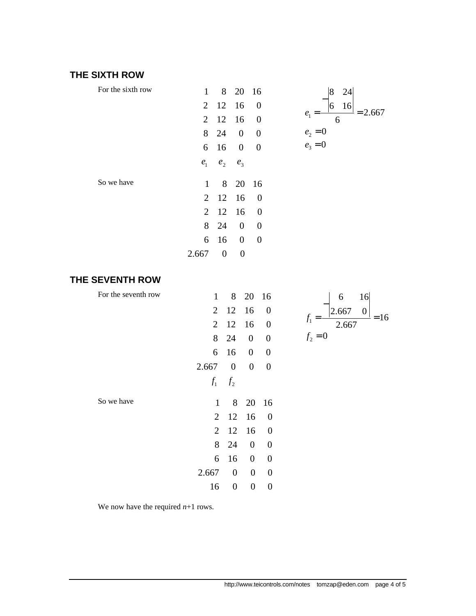# **THE SIXTH ROW**

| For the sixth row | $1 \quad$ |                   | 8 20 16          |                |  |
|-------------------|-----------|-------------------|------------------|----------------|--|
|                   |           | 2 12 16           |                  | $\overline{0}$ |  |
|                   |           | $2 \t12 \t16 \t0$ |                  |                |  |
|                   |           | 8 24 0            |                  | $\overline{0}$ |  |
|                   |           | 6 16 0            |                  | $\overline{0}$ |  |
|                   |           | $e_1$ $e_2$ $e_3$ |                  |                |  |
| So we have        |           | 1 8 20 16         |                  |                |  |
|                   |           | 2 12 16           |                  | $\sim 0$       |  |
|                   |           | 2 12 16           |                  | $\overline{0}$ |  |
|                   | 8         | 24                | $\overline{0}$   | $\overline{0}$ |  |
|                   | 6         | 16                | $\boldsymbol{0}$ | 0              |  |
|                   | 2.667     | 0                 | 0                |                |  |

# **THE SEVENTH ROW**

| For the seventh row | 1              | 8                | 20 16            |                  | 16<br>6                   |
|---------------------|----------------|------------------|------------------|------------------|---------------------------|
|                     | $\overline{2}$ | 12               | 16               | $\boldsymbol{0}$ | 2.667<br>$\boldsymbol{0}$ |
|                     | $\overline{2}$ | 12               | 16               | $\boldsymbol{0}$ | $=16$<br>$f_1$<br>2.667   |
|                     |                | 8 24             | $\boldsymbol{0}$ | $\boldsymbol{0}$ | $f_2 = 0$                 |
|                     | 6              | 16               | $\boldsymbol{0}$ | $\boldsymbol{0}$ |                           |
|                     | 2.667          | $\boldsymbol{0}$ | $\boldsymbol{0}$ | $\boldsymbol{0}$ |                           |
|                     | $f_1$          | f <sub>2</sub>   |                  |                  |                           |
| So we have          | $\mathbf{1}$   | 8                | 20 16            |                  |                           |
|                     | 2              | 12               | 16               | $\boldsymbol{0}$ |                           |
|                     | $\overline{2}$ | 12               | 16               | $\boldsymbol{0}$ |                           |
|                     | 8              | 24               | $\boldsymbol{0}$ | $\boldsymbol{0}$ |                           |
|                     | 6              | 16               | $\boldsymbol{0}$ | $\boldsymbol{0}$ |                           |
|                     | 2.667          | $\boldsymbol{0}$ | $\boldsymbol{0}$ | $\boldsymbol{0}$ |                           |
|                     | 16             | $\boldsymbol{0}$ | $\boldsymbol{0}$ | $\boldsymbol{0}$ |                           |

We now have the required *n*+1 rows.

1

 $e_2 = 0$  $e_3 = 0$ 

*e*

6

 $=\frac{|8+10|}{2}=$ 

−

2.667